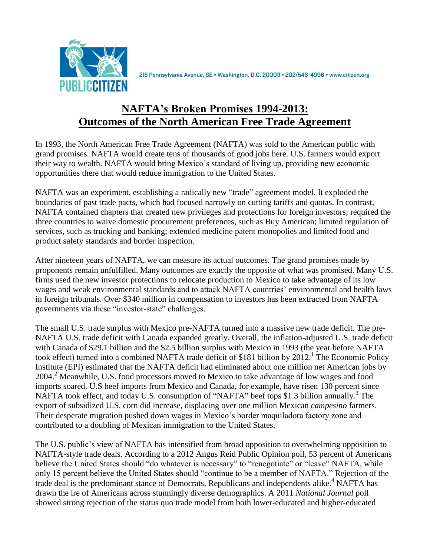

2I5 Pennsylvania Avenue, SE · Washington, D.C. 20003 · 202/546-4996 · www.citizen.org

# **NAFTA's Broken Promises 1994-2013: Outcomes of the North American Free Trade Agreement**

In 1993, the North American Free Trade Agreement (NAFTA) was sold to the American public with grand promises. NAFTA would create tens of thousands of good jobs here. U.S. farmers would export their way to wealth. NAFTA would bring Mexico's standard of living up, providing new economic opportunities there that would reduce immigration to the United States.

NAFTA was an experiment, establishing a radically new "trade" agreement model. It exploded the boundaries of past trade pacts, which had focused narrowly on cutting tariffs and quotas. In contrast, NAFTA contained chapters that created new privileges and protections for foreign investors; required the three countries to waive domestic procurement preferences, such as Buy American; limited regulation of services, such as trucking and banking; extended medicine patent monopolies and limited food and product safety standards and border inspection.

After nineteen years of NAFTA, we can measure its actual outcomes. The grand promises made by proponents remain unfulfilled. Many outcomes are exactly the opposite of what was promised. Many U.S. firms used the new investor protections to relocate production to Mexico to take advantage of its low wages and weak environmental standards and to attack NAFTA countries' environmental and health laws in foreign tribunals. Over \$340 million in compensation to investors has been extracted from NAFTA governments via these "investor-state" challenges.

The small U.S. trade surplus with Mexico pre-NAFTA turned into a massive new trade deficit. The pre-NAFTA U.S. trade deficit with Canada expanded greatly. Overall, the inflation-adjusted U.S. trade deficit with Canada of \$29.1 billion and the \$2.5 billion surplus with Mexico in 1993 (the year before NAFTA took effect) turned into a combined NAFTA trade deficit of \$181 billion by  $2012$ .<sup>1</sup> The Economic Policy Institute (EPI) estimated that the NAFTA deficit had eliminated about one million net American jobs by 2004.<sup>2</sup> Meanwhile, U.S. food processors moved to Mexico to take advantage of low wages and food imports soared. U.S beef imports from Mexico and Canada, for example, have risen 130 percent since NAFTA took effect, and today U.S. consumption of "NAFTA" beef tops \$1.3 billion annually.<sup>3</sup> The export of subsidized U.S. corn did increase, displacing over one million Mexican *campesino* farmers. Their desperate migration pushed down wages in Mexico's border maquiladora factory zone and contributed to a doubling of Mexican immigration to the United States.

The U.S. public's view of NAFTA has intensified from broad opposition to overwhelming opposition to NAFTA-style trade deals. According to a 2012 Angus Reid Public Opinion poll, 53 percent of Americans believe the United States should "do whatever is necessary" to "renegotiate" or "leave" NAFTA, while only 15 percent believe the United States should "continue to be a member of NAFTA." Rejection of the trade deal is the predominant stance of Democrats, Republicans and independents alike.<sup>4</sup> NAFTA has drawn the ire of Americans across stunningly diverse demographics. A 2011 *National Journal* poll showed strong rejection of the status quo trade model from both lower-educated and higher-educated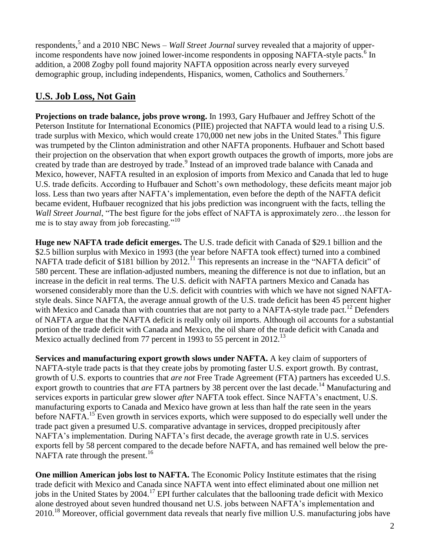respondents,<sup>5</sup> and a 2010 NBC News – *Wall Street Journal* survey revealed that a majority of upperincome respondents have now joined lower-income respondents in opposing NAFTA-style pacts.<sup>6</sup> In addition, a 2008 Zogby poll found majority NAFTA opposition across nearly every surveyed demographic group, including independents, Hispanics, women, Catholics and Southerners.<sup>7</sup>

# **U.S. Job Loss, Not Gain**

**Projections on trade balance, jobs prove wrong.** In 1993, Gary Hufbauer and Jeffrey Schott of the Peterson Institute for International Economics (PIIE) projected that NAFTA would lead to a rising U.S. trade surplus with Mexico, which would create 170,000 net new jobs in the United States.<sup>8</sup> This figure was trumpeted by the Clinton administration and other NAFTA proponents. Hufbauer and Schott based their projection on the observation that when export growth outpaces the growth of imports, more jobs are created by trade than are destroyed by trade.<sup>9</sup> Instead of an improved trade balance with Canada and Mexico, however, NAFTA resulted in an explosion of imports from Mexico and Canada that led to huge U.S. trade deficits. According to Hufbauer and Schott's own methodology, these deficits meant major job loss. Less than two years after NAFTA's implementation, even before the depth of the NAFTA deficit became evident, Hufbauer recognized that his jobs prediction was incongruent with the facts, telling the *Wall Street Journal*, "The best figure for the jobs effect of NAFTA is approximately zero…the lesson for me is to stay away from job forecasting."<sup>10</sup>

**Huge new NAFTA trade deficit emerges.** The U.S. trade deficit with Canada of \$29.1 billion and the \$2.5 billion surplus with Mexico in 1993 (the year before NAFTA took effect) turned into a combined NAFTA trade deficit of \$181 billion by 2012.<sup>11</sup> This represents an increase in the "NAFTA deficit" of 580 percent. These are inflation-adjusted numbers, meaning the difference is not due to inflation, but an increase in the deficit in real terms. The U.S. deficit with NAFTA partners Mexico and Canada has worsened considerably more than the U.S. deficit with countries with which we have not signed NAFTAstyle deals. Since NAFTA, the average annual growth of the U.S. trade deficit has been 45 percent higher with Mexico and Canada than with countries that are not party to a NAFTA-style trade pact.<sup>12</sup> Defenders of NAFTA argue that the NAFTA deficit is really only oil imports. Although oil accounts for a substantial portion of the trade deficit with Canada and Mexico, the oil share of the trade deficit with Canada and Mexico actually declined from 77 percent in 1993 to 55 percent in 2012.<sup>13</sup>

**Services and manufacturing export growth slows under NAFTA.** A key claim of supporters of NAFTA-style trade pacts is that they create jobs by promoting faster U.S. export growth. By contrast, growth of U.S. exports to countries that *are not* Free Trade Agreement (FTA) partners has exceeded U.S. export growth to countries that *are* FTA partners by 38 percent over the last decade.<sup>14</sup> Manufacturing and services exports in particular grew slower *after* NAFTA took effect. Since NAFTA's enactment, U.S. manufacturing exports to Canada and Mexico have grown at less than half the rate seen in the years before NAFTA.<sup>15</sup> Even growth in services exports, which were supposed to do especially well under the trade pact given a presumed U.S. comparative advantage in services, dropped precipitously after NAFTA's implementation. During NAFTA's first decade, the average growth rate in U.S. services exports fell by 58 percent compared to the decade before NAFTA, and has remained well below the pre-NAFTA rate through the present.<sup>16</sup>

**One million American jobs lost to NAFTA.** The Economic Policy Institute estimates that the rising trade deficit with Mexico and Canada since NAFTA went into effect eliminated about one million net jobs in the United States by  $2004$ .<sup>17</sup> EPI further calculates that the ballooning trade deficit with Mexico alone destroyed about seven hundred thousand net U.S. jobs between NAFTA's implementation and 2010.<sup>18</sup> Moreover, official government data reveals that nearly five million U.S. manufacturing jobs have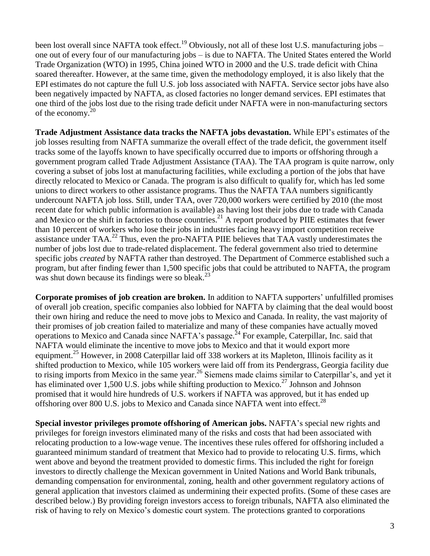been lost overall since NAFTA took effect.<sup>19</sup> Obviously, not all of these lost U.S. manufacturing jobs – one out of every four of our manufacturing jobs – is due to NAFTA. The United States entered the World Trade Organization (WTO) in 1995, China joined WTO in 2000 and the U.S. trade deficit with China soared thereafter. However, at the same time, given the methodology employed, it is also likely that the EPI estimates do not capture the full U.S. job loss associated with NAFTA. Service sector jobs have also been negatively impacted by NAFTA, as closed factories no longer demand services. EPI estimates that one third of the jobs lost due to the rising trade deficit under NAFTA were in non-manufacturing sectors of the economy.<sup>20</sup>

**Trade Adjustment Assistance data tracks the NAFTA jobs devastation.** While EPI's estimates of the job losses resulting from NAFTA summarize the overall effect of the trade deficit, the government itself tracks some of the layoffs known to have specifically occurred due to imports or offshoring through a government program called Trade Adjustment Assistance (TAA). The TAA program is quite narrow, only covering a subset of jobs lost at manufacturing facilities, while excluding a portion of the jobs that have directly relocated to Mexico or Canada. The program is also difficult to qualify for, which has led some unions to direct workers to other assistance programs. Thus the NAFTA TAA numbers significantly undercount NAFTA job loss. Still, under TAA, over 720,000 workers were certified by 2010 (the most recent date for which public information is available) as having lost their jobs due to trade with Canada and Mexico or the shift in factories to those countries.<sup>21</sup> A report produced by PIIE estimates that fewer than 10 percent of workers who lose their jobs in industries facing heavy import competition receive assistance under  $TAA$ <sup>22</sup> Thus, even the pro-NAFTA PIIE believes that TAA vastly underestimates the number of jobs lost due to trade-related displacement. The federal government also tried to determine specific jobs *created* by NAFTA rather than destroyed. The Department of Commerce established such a program, but after finding fewer than 1,500 specific jobs that could be attributed to NAFTA, the program was shut down because its findings were so bleak. $^{23}$ 

**Corporate promises of job creation are broken.** In addition to NAFTA supporters' unfulfilled promises of overall job creation, specific companies also lobbied for NAFTA by claiming that the deal would boost their own hiring and reduce the need to move jobs to Mexico and Canada. In reality, the vast majority of their promises of job creation failed to materialize and many of these companies have actually moved operations to Mexico and Canada since NAFTA's passage.<sup>24</sup> For example, Caterpillar, Inc. said that NAFTA would eliminate the incentive to move jobs to Mexico and that it would export more equipment.<sup>25</sup> However, in 2008 Caterpillar laid off 338 workers at its Mapleton, Illinois facility as it shifted production to Mexico, while 105 workers were laid off from its Pendergrass, Georgia facility due to rising imports from Mexico in the same year.<sup>26</sup> Siemens made claims similar to Caterpillar's, and yet it has eliminated over 1,500 U.S. jobs while shifting production to Mexico.<sup>27</sup> Johnson and Johnson promised that it would hire hundreds of U.S. workers if NAFTA was approved, but it has ended up offshoring over 800 U.S. jobs to Mexico and Canada since NAFTA went into effect.<sup>28</sup>

**Special investor privileges promote offshoring of American jobs.** NAFTA's special new rights and privileges for foreign investors eliminated many of the risks and costs that had been associated with relocating production to a low-wage venue. The incentives these rules offered for offshoring included a guaranteed minimum standard of treatment that Mexico had to provide to relocating U.S. firms, which went above and beyond the treatment provided to domestic firms. This included the right for foreign investors to directly challenge the Mexican government in United Nations and World Bank tribunals, demanding compensation for environmental, zoning, health and other government regulatory actions of general application that investors claimed as undermining their expected profits. (Some of these cases are described below.) By providing foreign investors access to foreign tribunals, NAFTA also eliminated the risk of having to rely on Mexico's domestic court system. The protections granted to corporations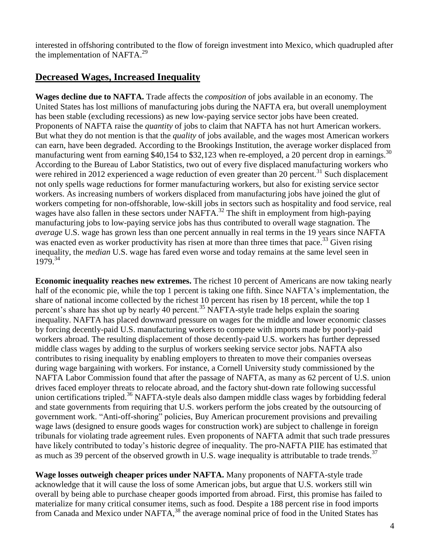interested in offshoring contributed to the flow of foreign investment into Mexico, which quadrupled after the implementation of NAFTA.<sup>29</sup>

# **Decreased Wages, Increased Inequality**

**Wages decline due to NAFTA.** Trade affects the *composition* of jobs available in an economy. The United States has lost millions of manufacturing jobs during the NAFTA era, but overall unemployment has been stable (excluding recessions) as new low-paying service sector jobs have been created. Proponents of NAFTA raise the *quantity* of jobs to claim that NAFTA has not hurt American workers. But what they do not mention is that the *quality* of jobs available, and the wages most American workers can earn, have been degraded. According to the Brookings Institution, the average worker displaced from manufacturing went from earning \$40,154 to \$32,123 when re-employed, a 20 percent drop in earnings.<sup>30</sup> According to the Bureau of Labor Statistics, two out of every five displaced manufacturing workers who were rehired in 2012 experienced a wage reduction of even greater than 20 percent.<sup>31</sup> Such displacement not only spells wage reductions for former manufacturing workers, but also for existing service sector workers. As increasing numbers of workers displaced from manufacturing jobs have joined the glut of workers competing for non-offshorable, low-skill jobs in sectors such as hospitality and food service, real wages have also fallen in these sectors under NAFTA.<sup>32</sup> The shift in employment from high-paying manufacturing jobs to low-paying service jobs has thus contributed to overall wage stagnation. The *average* U.S. wage has grown less than one percent annually in real terms in the 19 years since NAFTA was enacted even as worker productivity has risen at more than three times that pace.<sup>33</sup> Given rising inequality, the *median* U.S. wage has fared even worse and today remains at the same level seen in 1979.<sup>34</sup>

**Economic inequality reaches new extremes.** The richest 10 percent of Americans are now taking nearly half of the economic pie, while the top 1 percent is taking one fifth. Since NAFTA's implementation, the share of national income collected by the richest 10 percent has risen by 18 percent, while the top 1 percent's share has shot up by nearly 40 percent.<sup>35</sup> NAFTA-style trade helps explain the soaring inequality. NAFTA has placed downward pressure on wages for the middle and lower economic classes by forcing decently-paid U.S. manufacturing workers to compete with imports made by poorly-paid workers abroad. The resulting displacement of those decently-paid U.S. workers has further depressed middle class wages by adding to the surplus of workers seeking service sector jobs. NAFTA also contributes to rising inequality by enabling employers to threaten to move their companies overseas during wage bargaining with workers. For instance, a Cornell University study commissioned by the NAFTA Labor Commission found that after the passage of NAFTA, as many as 62 percent of U.S. union drives faced employer threats to relocate abroad, and the factory shut-down rate following successful union certifications tripled.<sup>36</sup> NAFTA-style deals also dampen middle class wages by forbidding federal and state governments from requiring that U.S. workers perform the jobs created by the outsourcing of government work. "Anti-off-shoring" policies, Buy American procurement provisions and prevailing wage laws (designed to ensure goods wages for construction work) are subject to challenge in foreign tribunals for violating trade agreement rules. Even proponents of NAFTA admit that such trade pressures have likely contributed to today's historic degree of inequality. The pro-NAFTA PIIE has estimated that as much as 39 percent of the observed growth in U.S. wage inequality is attributable to trade trends.<sup>37</sup>

**Wage losses outweigh cheaper prices under NAFTA.** Many proponents of NAFTA-style trade acknowledge that it will cause the loss of some American jobs, but argue that U.S. workers still win overall by being able to purchase cheaper goods imported from abroad. First, this promise has failed to materialize for many critical consumer items, such as food. Despite a 188 percent rise in food imports from Canada and Mexico under NAFTA,<sup>38</sup> the average nominal price of food in the United States has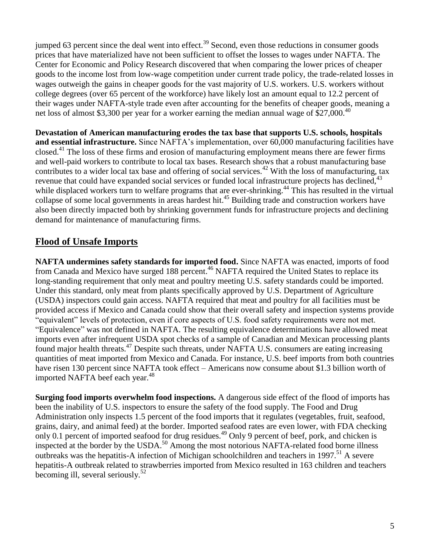jumped 63 percent since the deal went into effect.<sup>39</sup> Second, even those reductions in consumer goods prices that have materialized have not been sufficient to offset the losses to wages under NAFTA. The Center for Economic and Policy Research discovered that when comparing the lower prices of cheaper goods to the income lost from low-wage competition under current trade policy, the trade-related losses in wages outweigh the gains in cheaper goods for the vast majority of U.S. workers. U.S. workers without college degrees (over 65 percent of the workforce) have likely lost an amount equal to 12.2 percent of their wages under NAFTA-style trade even after accounting for the benefits of cheaper goods, meaning a net loss of almost \$3,300 per year for a worker earning the median annual wage of \$27,000.<sup>40</sup>

**Devastation of American manufacturing erodes the tax base that supports U.S. schools, hospitals and essential infrastructure.** Since NAFTA's implementation, over 60,000 manufacturing facilities have closed.<sup>41</sup> The loss of these firms and erosion of manufacturing employment means there are fewer firms and well-paid workers to contribute to local tax bases. Research shows that a robust manufacturing base contributes to a wider local tax base and offering of social services.<sup>42</sup> With the loss of manufacturing, tax revenue that could have expanded social services or funded local infrastructure projects has declined, <sup>43</sup> while displaced workers turn to welfare programs that are ever-shrinking.<sup>44</sup> This has resulted in the virtual collapse of some local governments in areas hardest hit. <sup>45</sup> Building trade and construction workers have also been directly impacted both by shrinking government funds for infrastructure projects and declining demand for maintenance of manufacturing firms.

### **Flood of Unsafe Imports**

**NAFTA undermines safety standards for imported food.** Since NAFTA was enacted, imports of food from Canada and Mexico have surged 188 percent.<sup>46</sup> NAFTA required the United States to replace its long-standing requirement that only meat and poultry meeting U.S. safety standards could be imported. Under this standard, only meat from plants specifically approved by U.S. Department of Agriculture (USDA) inspectors could gain access. NAFTA required that meat and poultry for all facilities must be provided access if Mexico and Canada could show that their overall safety and inspection systems provide "equivalent" levels of protection, even if core aspects of U.S. food safety requirements were not met. "Equivalence" was not defined in NAFTA. The resulting equivalence determinations have allowed meat imports even after infrequent USDA spot checks of a sample of Canadian and Mexican processing plants found major health threats.<sup>47</sup> Despite such threats, under NAFTA U.S. consumers are eating increasing quantities of meat imported from Mexico and Canada. For instance, U.S. beef imports from both countries have risen 130 percent since NAFTA took effect – Americans now consume about \$1.3 billion worth of imported NAFTA beef each year.<sup>48</sup>

**Surging food imports overwhelm food inspections.** A dangerous side effect of the flood of imports has been the inability of U.S. inspectors to ensure the safety of the food supply. The Food and Drug Administration only inspects 1.5 percent of the food imports that it regulates (vegetables, fruit, seafood, grains, dairy, and animal feed) at the border. Imported seafood rates are even lower, with FDA checking only 0.1 percent of imported seafood for drug residues.<sup>49</sup> Only 9 percent of beef, pork, and chicken is inspected at the border by the USDA.<sup>50</sup> Among the most notorious NAFTA-related food borne illness outbreaks was the hepatitis-A infection of Michigan schoolchildren and teachers in 1997.<sup>51</sup> A severe hepatitis-A outbreak related to strawberries imported from Mexico resulted in 163 children and teachers becoming ill, several seriously. 52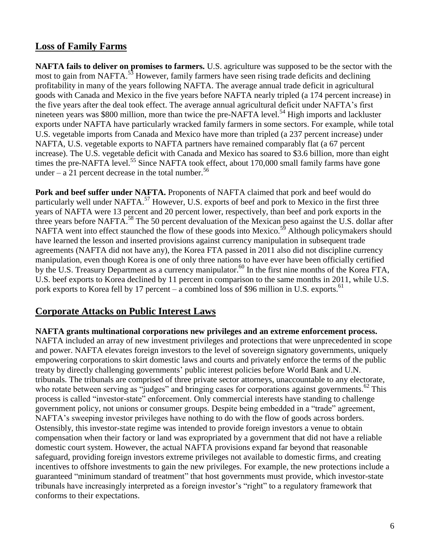#### **Loss of Family Farms**

**NAFTA fails to deliver on promises to farmers.** U.S. agriculture was supposed to be the sector with the most to gain from NAFTA.<sup>53</sup> However, family farmers have seen rising trade deficits and declining profitability in many of the years following NAFTA. The average annual trade deficit in agricultural goods with Canada and Mexico in the five years before NAFTA nearly tripled (a 174 percent increase) in the five years after the deal took effect. The average annual agricultural deficit under NAFTA's first nineteen years was \$800 million, more than twice the pre-NAFTA level.<sup>54</sup> High imports and lackluster exports under NAFTA have particularly wracked family farmers in some sectors. For example, while total U.S. vegetable imports from Canada and Mexico have more than tripled (a 237 percent increase) under NAFTA, U.S. vegetable exports to NAFTA partners have remained comparably flat (a 67 percent increase). The U.S. vegetable deficit with Canada and Mexico has soared to \$3.6 billion, more than eight times the pre-NAFTA level.<sup>55</sup> Since NAFTA took effect, about 170,000 small family farms have gone under – a 21 percent decrease in the total number.<sup>56</sup>

**Pork and beef suffer under NAFTA.** Proponents of NAFTA claimed that pork and beef would do particularly well under NAFTA.<sup>57</sup> However, U.S. exports of beef and pork to Mexico in the first three years of NAFTA were 13 percent and 20 percent lower, respectively, than beef and pork exports in the three years before NAFTA.<sup>58</sup> The 50 percent devaluation of the Mexican peso against the U.S. dollar after NAFTA went into effect staunched the flow of these goods into Mexico.<sup>59</sup> Although policymakers should have learned the lesson and inserted provisions against currency manipulation in subsequent trade agreements (NAFTA did not have any), the Korea FTA passed in 2011 also did not discipline currency manipulation, even though Korea is one of only three nations to have ever have been officially certified by the U.S. Treasury Department as a currency manipulator.<sup>60</sup> In the first nine months of the Korea FTA, U.S. beef exports to Korea declined by 11 percent in comparison to the same months in 2011, while U.S. pork exports to Korea fell by 17 percent – a combined loss of \$96 million in U.S. exports.<sup>61</sup>

#### **Corporate Attacks on Public Interest Laws**

**NAFTA grants multinational corporations new privileges and an extreme enforcement process.** NAFTA included an array of new investment privileges and protections that were unprecedented in scope and power. NAFTA elevates foreign investors to the level of sovereign signatory governments, uniquely empowering corporations to skirt domestic laws and courts and privately enforce the terms of the public treaty by directly challenging governments' public interest policies before World Bank and U.N. tribunals. The tribunals are comprised of three private sector attorneys, unaccountable to any electorate, who rotate between serving as "judges" and bringing cases for corporations against governments.<sup>62</sup> This process is called "investor-state" enforcement. Only commercial interests have standing to challenge government policy, not unions or consumer groups. Despite being embedded in a "trade" agreement, NAFTA's sweeping investor privileges have nothing to do with the flow of goods across borders. Ostensibly, this investor-state regime was intended to provide foreign investors a venue to obtain compensation when their factory or land was expropriated by a government that did not have a reliable domestic court system. However, the actual NAFTA provisions expand far beyond that reasonable safeguard, providing foreign investors extreme privileges not available to domestic firms, and creating incentives to offshore investments to gain the new privileges. For example, the new protections include a guaranteed "minimum standard of treatment" that host governments must provide, which investor-state tribunals have increasingly interpreted as a foreign investor's "right" to a regulatory framework that conforms to their expectations.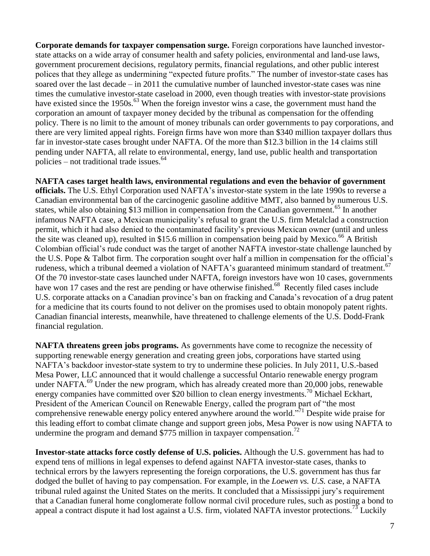**Corporate demands for taxpayer compensation surge.** Foreign corporations have launched investorstate attacks on a wide array of consumer health and safety policies, environmental and land-use laws, government procurement decisions, regulatory permits, financial regulations, and other public interest polices that they allege as undermining "expected future profits." The number of investor-state cases has soared over the last decade – in 2011 the cumulative number of launched investor-state cases was nine times the cumulative investor-state caseload in 2000, even though treaties with investor-state provisions have existed since the 1950s.<sup>63</sup> When the foreign investor wins a case, the government must hand the corporation an amount of taxpayer money decided by the tribunal as compensation for the offending policy. There is no limit to the amount of money tribunals can order governments to pay corporations, and there are very limited appeal rights. Foreign firms have won more than \$340 million taxpayer dollars thus far in investor-state cases brought under NAFTA. Of the more than \$12.3 billion in the 14 claims still pending under NAFTA, all relate to environmental, energy, land use, public health and transportation policies – not traditional trade issues. $64$ 

**NAFTA cases target health laws, environmental regulations and even the behavior of government officials.** The U.S. Ethyl Corporation used NAFTA's investor-state system in the late 1990s to reverse a Canadian environmental ban of the carcinogenic gasoline additive MMT, also banned by numerous U.S. states, while also obtaining \$13 million in compensation from the Canadian government.<sup>65</sup> In another infamous NAFTA case, a Mexican municipality's refusal to grant the U.S. firm Metalclad a construction permit, which it had also denied to the contaminated facility's previous Mexican owner (until and unless the site was cleaned up), resulted in \$15.6 million in compensation being paid by Mexico.<sup>66</sup> A British Colombian official's rude conduct was the target of another NAFTA investor-state challenge launched by the U.S. Pope & Talbot firm. The corporation sought over half a million in compensation for the official's rudeness, which a tribunal deemed a violation of NAFTA's guaranteed minimum standard of treatment.<sup>67</sup> Of the 70 investor-state cases launched under NAFTA, foreign investors have won 10 cases, governments have won 17 cases and the rest are pending or have otherwise finished.<sup>68</sup> Recently filed cases include U.S. corporate attacks on a Canadian province's ban on fracking and Canada's revocation of a drug patent for a medicine that its courts found to not deliver on the promises used to obtain monopoly patent rights. Canadian financial interests, meanwhile, have threatened to challenge elements of the U.S. Dodd-Frank financial regulation.

**NAFTA threatens green jobs programs.** As governments have come to recognize the necessity of supporting renewable energy generation and creating green jobs, corporations have started using NAFTA's backdoor investor-state system to try to undermine these policies. In July 2011, U.S.-based Mesa Power, LLC announced that it would challenge a successful Ontario renewable energy program under NAFTA.<sup>69</sup> Under the new program, which has already created more than 20,000 jobs, renewable energy companies have committed over \$20 billion to clean energy investments.<sup>70</sup> Michael Eckhart, President of the American Council on Renewable Energy, called the program part of "the most comprehensive renewable energy policy entered anywhere around the world."<sup>71</sup> Despite wide praise for this leading effort to combat climate change and support green jobs, Mesa Power is now using NAFTA to undermine the program and demand  $$775$  million in taxpayer compensation.<sup>72</sup>

**Investor-state attacks force costly defense of U.S. policies.** Although the U.S. government has had to expend tens of millions in legal expenses to defend against NAFTA investor-state cases, thanks to technical errors by the lawyers representing the foreign corporations, the U.S. government has thus far dodged the bullet of having to pay compensation. For example, in the *Loewen vs. U.S.* case, a NAFTA tribunal ruled against the United States on the merits. It concluded that a Mississippi jury's requirement that a Canadian funeral home conglomerate follow normal civil procedure rules, such as posting a bond to appeal a contract dispute it had lost against a U.S. firm, violated NAFTA investor protections.<sup>73</sup> Luckily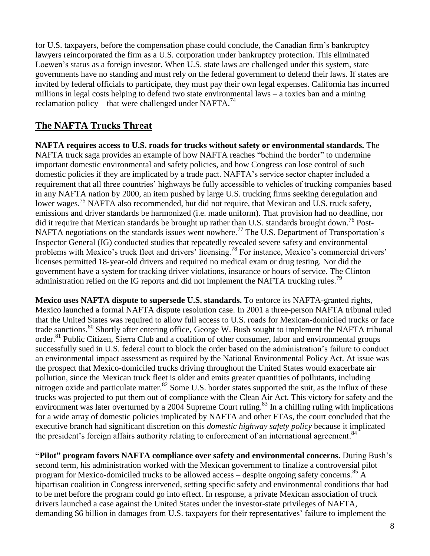for U.S. taxpayers, before the compensation phase could conclude, the Canadian firm's bankruptcy lawyers reincorporated the firm as a U.S. corporation under bankruptcy protection. This eliminated Loewen's status as a foreign investor. When U.S. state laws are challenged under this system, state governments have no standing and must rely on the federal government to defend their laws. If states are invited by federal officials to participate, they must pay their own legal expenses. California has incurred millions in legal costs helping to defend two state environmental laws – a toxics ban and a mining reclamation policy – that were challenged under NAFTA.<sup>74</sup>

### **The NAFTA Trucks Threat**

**NAFTA requires access to U.S. roads for trucks without safety or environmental standards.** The NAFTA truck saga provides an example of how NAFTA reaches "behind the border" to undermine important domestic environmental and safety policies, and how Congress can lose control of such domestic policies if they are implicated by a trade pact. NAFTA's service sector chapter included a requirement that all three countries' highways be fully accessible to vehicles of trucking companies based in any NAFTA nation by 2000, an item pushed by large U.S. trucking firms seeking deregulation and lower wages.<sup>75</sup> NAFTA also recommended, but did not require, that Mexican and U.S. truck safety, emissions and driver standards be harmonized (i.e. made uniform). That provision had no deadline, nor did it require that Mexican standards be brought up rather than U.S. standards brought down.<sup>76</sup> Post-NAFTA negotiations on the standards issues went nowhere.<sup>77</sup> The U.S. Department of Transportation's Inspector General (IG) conducted studies that repeatedly revealed severe safety and environmental problems with Mexico's truck fleet and drivers' licensing.<sup>78</sup> For instance, Mexico's commercial drivers' licenses permitted 18-year-old drivers and required no medical exam or drug testing. Nor did the government have a system for tracking driver violations, insurance or hours of service. The Clinton administration relied on the IG reports and did not implement the NAFTA trucking rules.<sup>79</sup>

**Mexico uses NAFTA dispute to supersede U.S. standards.** To enforce its NAFTA-granted rights, Mexico launched a formal NAFTA dispute resolution case. In 2001 a three-person NAFTA tribunal ruled that the United States was required to allow full access to U.S. roads for Mexican-domiciled trucks or face trade sanctions.<sup>80</sup> Shortly after entering office, George W. Bush sought to implement the NAFTA tribunal order.<sup>81</sup> Public Citizen, Sierra Club and a coalition of other consumer, labor and environmental groups successfully sued in U.S. federal court to block the order based on the administration's failure to conduct an environmental impact assessment as required by the National Environmental Policy Act. At issue was the prospect that Mexico-domiciled trucks driving throughout the United States would exacerbate air pollution, since the Mexican truck fleet is older and emits greater quantities of pollutants, including nitrogen oxide and particulate matter.<sup>82</sup> Some U.S. border states supported the suit, as the influx of these trucks was projected to put them out of compliance with the Clean Air Act. This victory for safety and the environment was later overturned by a 2004 Supreme Court ruling.<sup>83</sup> In a chilling ruling with implications for a wide array of domestic policies implicated by NAFTA and other FTAs, the court concluded that the executive branch had significant discretion on this *domestic highway safety policy* because it implicated the president's foreign affairs authority relating to enforcement of an international agreement.<sup>84</sup>

**"Pilot" program favors NAFTA compliance over safety and environmental concerns.** During Bush's second term, his administration worked with the Mexican government to finalize a controversial pilot program for Mexico-domiciled trucks to be allowed access – despite ongoing safety concerns.<sup>85</sup> A bipartisan coalition in Congress intervened, setting specific safety and environmental conditions that had to be met before the program could go into effect. In response, a private Mexican association of truck drivers launched a case against the United States under the investor-state privileges of NAFTA, demanding \$6 billion in damages from U.S. taxpayers for their representatives' failure to implement the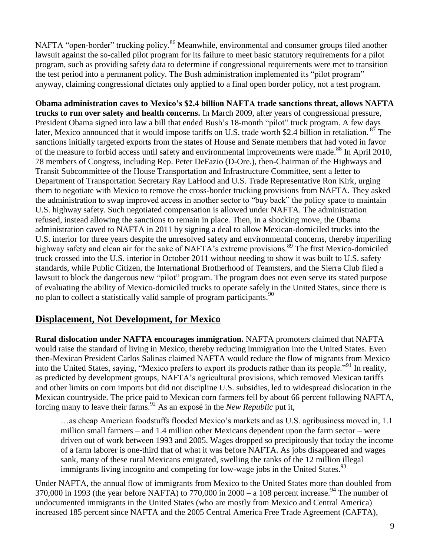NAFTA "open-border" trucking policy.<sup>86</sup> Meanwhile, environmental and consumer groups filed another lawsuit against the so-called pilot program for its failure to meet basic statutory requirements for a pilot program, such as providing safety data to determine if congressional requirements were met to transition the test period into a permanent policy. The Bush administration implemented its "pilot program" anyway, claiming congressional dictates only applied to a final open border policy, not a test program.

**Obama administration caves to Mexico's \$2.4 billion NAFTA trade sanctions threat, allows NAFTA trucks to run over safety and health concerns.** In March 2009, after years of congressional pressure, President Obama signed into law a bill that ended Bush's 18-month "pilot" truck program. A few days later, Mexico announced that it would impose tariffs on U.S. trade worth \$2.4 billion in retaliation. <sup>87</sup> The sanctions initially targeted exports from the states of House and Senate members that had voted in favor of the measure to forbid access until safety and environmental improvements were made.<sup>88</sup> In April 2010, 78 members of Congress, including Rep. Peter DeFazio (D-Ore.), then-Chairman of the Highways and Transit Subcommittee of the House Transportation and Infrastructure Committee, sent a letter to Department of Transportation Secretary Ray LaHood and U.S. Trade Representative Ron Kirk, urging them to negotiate with Mexico to remove the cross-border trucking provisions from NAFTA. They asked the administration to swap improved access in another sector to "buy back" the policy space to maintain U.S. highway safety. Such negotiated compensation is allowed under NAFTA. The administration refused, instead allowing the sanctions to remain in place. Then, in a shocking move, the Obama administration caved to NAFTA in 2011 by signing a deal to allow Mexican-domiciled trucks into the U.S. interior for three years despite the unresolved safety and environmental concerns, thereby imperiling highway safety and clean air for the sake of NAFTA's extreme provisions.<sup>89</sup> The first Mexico-domiciled truck crossed into the U.S. interior in October 2011 without needing to show it was built to U.S. safety standards, while Public Citizen, the International Brotherhood of Teamsters, and the Sierra Club filed a lawsuit to block the dangerous new "pilot" program. The program does not even serve its stated purpose of evaluating the ability of Mexico-domiciled trucks to operate safely in the United States, since there is no plan to collect a statistically valid sample of program participants.<sup>90</sup>

#### **Displacement, Not Development, for Mexico**

**Rural dislocation under NAFTA encourages immigration.** NAFTA promoters claimed that NAFTA would raise the standard of living in Mexico, thereby reducing immigration into the United States. Even then-Mexican President Carlos Salinas claimed NAFTA would reduce the flow of migrants from Mexico into the United States, saying, "Mexico prefers to export its products rather than its people."<sup>91</sup> In reality, as predicted by development groups, NAFTA's agricultural provisions, which removed Mexican tariffs and other limits on corn imports but did not discipline U.S. subsidies, led to widespread dislocation in the Mexican countryside. The price paid to Mexican corn farmers fell by about 66 percent following NAFTA, forcing many to leave their farms.<sup>92</sup> As an exposé in the *New Republic* put it,

…as cheap American foodstuffs flooded Mexico's markets and as U.S. agribusiness moved in, 1.1 million small farmers – and 1.4 million other Mexicans dependent upon the farm sector – were driven out of work between 1993 and 2005. Wages dropped so precipitously that today the income of a farm laborer is one-third that of what it was before NAFTA. As jobs disappeared and wages sank, many of these rural Mexicans emigrated, swelling the ranks of the 12 million illegal immigrants living incognito and competing for low-wage jobs in the United States.<sup>93</sup>

Under NAFTA, the annual flow of immigrants from Mexico to the United States more than doubled from 370,000 in 1993 (the year before NAFTA) to 770,000 in 2000 – a 108 percent increase.<sup>94</sup> The number of undocumented immigrants in the United States (who are mostly from Mexico and Central America) increased 185 percent since NAFTA and the 2005 Central America Free Trade Agreement (CAFTA),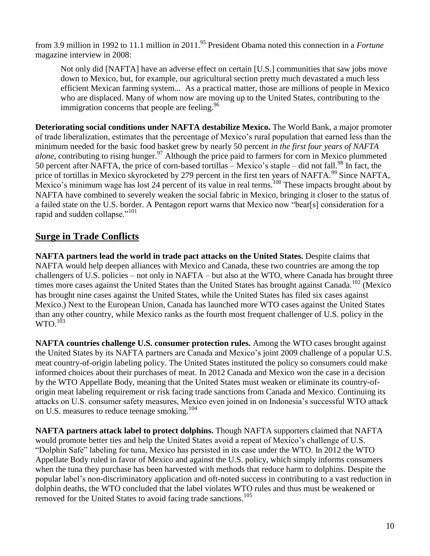from 3.9 million in 1992 to 11.1 million in 2011. <sup>95</sup> President Obama noted this connection in a *Fortune* magazine interview in 2008:

Not only did [NAFTA] have an adverse effect on certain [U.S.] communities that saw jobs move down to Mexico, but, for example, our agricultural section pretty much devastated a much less efficient Mexican farming system... As a practical matter, those are millions of people in Mexico who are displaced. Many of whom now are moving up to the United States, contributing to the immigration concerns that people are feeling.  $96$ 

**Deteriorating social conditions under NAFTA destabilize Mexico.** The World Bank, a major promoter of trade liberalization, estimates that the percentage of Mexico's rural population that earned less than the minimum needed for the basic food basket grew by nearly 50 percent *in the first four years of NAFTA alone*, contributing to rising hunger. <sup>97</sup> Although the price paid to farmers for corn in Mexico plummeted 50 percent after NAFTA, the price of corn-based tortillas – Mexico's staple – did not fall.<sup>98</sup> In fact, the price of tortillas in Mexico skyrocketed by 279 percent in the first ten years of NAFTA.<sup>99</sup> Since NAFTA, Mexico's minimum wage has lost 24 percent of its value in real terms.<sup>100</sup> These impacts brought about by NAFTA have combined to severely weaken the social fabric in Mexico, bringing it closer to the status of a failed state on the U.S. border. A Pentagon report warns that Mexico now "bear[s] consideration for a rapid and sudden collapse."<sup>101</sup>

## **Surge in Trade Conflicts**

**NAFTA partners lead the world in trade pact attacks on the United States.** Despite claims that NAFTA would help deepen alliances with Mexico and Canada, these two countries are among the top challengers of U.S. policies – not only in NAFTA – but also at the WTO, where Canada has brought three times more cases against the United States than the United States has brought against Canada.<sup>102</sup> (Mexico) has brought nine cases against the United States, while the United States has filed six cases against Mexico.) Next to the European Union, Canada has launched more WTO cases against the United States than any other country, while Mexico ranks as the fourth most frequent challenger of U.S. policy in the  $\rm{WTO.}^{103}$ 

**NAFTA countries challenge U.S. consumer protection rules.** Among the WTO cases brought against the United States by its NAFTA partners are Canada and Mexico's joint 2009 challenge of a popular U.S. meat country-of-origin labeling policy. The United States instituted the policy so consumers could make informed choices about their purchases of meat. In 2012 Canada and Mexico won the case in a decision by the WTO Appellate Body, meaning that the United States must weaken or eliminate its country-oforigin meat labeling requirement or risk facing trade sanctions from Canada and Mexico. Continuing its attacks on U.S. consumer safety measures, Mexico even joined in on Indonesia's successful WTO attack on U.S. measures to reduce teenage smoking.<sup>104</sup>

**NAFTA partners attack label to protect dolphins.** Though NAFTA supporters claimed that NAFTA would promote better ties and help the United States avoid a repeat of Mexico's challenge of U.S. "Dolphin Safe" labeling for tuna, Mexico has persisted in its case under the WTO. In 2012 the WTO Appellate Body ruled in favor of Mexico and against the U.S. policy, which simply informs consumers when the tuna they purchase has been harvested with methods that reduce harm to dolphins. Despite the popular label's non-discriminatory application and oft-noted success in contributing to a vast reduction in dolphin deaths, the WTO concluded that the label violates WTO rules and thus must be weakened or removed for the United States to avoid facing trade sanctions.<sup>105</sup>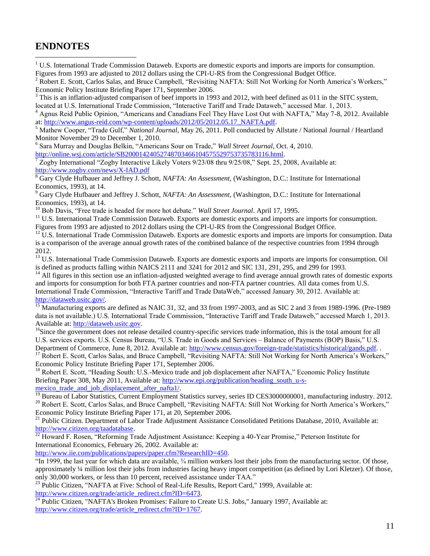#### **ENDNOTES**

 $\overline{a}$ 

<sup>1</sup> U.S. International Trade Commission Dataweb. Exports are domestic exports and imports are imports for consumption. Figures from 1993 are adjusted to 2012 dollars using the CPI-U-RS from the Congressional Budget Office.

<sup>2</sup> Robert E. Scott, Carlos Salas, and Bruce Campbell, "Revisiting NAFTA: Still Not Working for North America's Workers," Economic Policy Institute Briefing Paper 171, September 2006.

<sup>3</sup> This is an inflation-adjusted comparison of beef imports in 1993 and 2012, with beef defined as 011 in the SITC system, located at U.S. International Trade Commission, "Interactive Tariff and Trade Dataweb," accessed Mar. 1, 2013.

<sup>4</sup> Agnus Reid Public Opinion, "Americans and Canadians Feel They Have Lost Out with NAFTA," May 7-8, 2012. Available at: [http://www.angus-reid.com/wp-content/uploads/2012/05/2012.05.17\\_NAFTA.pdf.](http://www.angus-reid.com/wp-content/uploads/2012/05/2012.05.17_NAFTA.pdf)

<sup>5</sup> Mathew Cooper, "Trade Gulf," *National Journal,* May 26, 2011. Poll conducted by Allstate / National Journal / Heartland Monitor November 29 to December 1, 2010.

6 Sara Murray and Douglas Belkin, "Americans Sour on Trade," *Wall Street Journal*, Oct. 4, 2010. [http://online.wsj.com/article/SB20001424052748703466104575529753735783116.html.](http://online.wsj.com/article/SB20001424052748703466104575529753735783116.html)

<sup>7</sup> Zogby International "Zogby Interactive Likely Voters 9/23/08 thru 9/25/08," Sept. 25, 2008, Available at: <http://www.zogby.com/news/X-IAD.pdf>

<sup>8</sup> Gary Clyde Hufbauer and Jeffrey J. Schott, *NAFTA: An Assessment,* (Washington, D.C.: Institute for International Economics, 1993), at 14.

<sup>9</sup> Gary Clyde Hufbauer and Jeffrey J. Schott, *NAFTA: An Assessment,* (Washington, D.C.: Institute for International Economics, 1993), at 14.

<sup>10</sup> Bob Davis, "Free trade is headed for more hot debate." *Wall Street Journal*. April 17, 1995.

 $11$  U.S. International Trade Commission Dataweb. Exports are domestic exports and imports are imports for consumption. Figures from 1993 are adjusted to 2012 dollars using the CPI-U-RS from the Congressional Budget Office.

 $12$  U.S. International Trade Commission Dataweb. Exports are domestic exports and imports are imports for consumption. Data is a comparison of the average annual growth rates of the combined balance of the respective countries from 1994 through 2012.

<sup>13</sup> U.S. International Trade Commission Dataweb. Exports are domestic exports and imports are imports for consumption. Oil is defined as products falling within NAICS 2111 and 3241 for 2012 and SIC 131, 291, 295, and 299 for 1993.

All figures in this section use an inflation-adjusted weighted average to find average annual growth rates of domestic exports and imports for consumption for both FTA partner countries and non-FTA partner countries. All data comes from U.S. International Trade Commission, "Interactive Tariff and Trade DataWeb," accessed January 30, 2012. Available at: [http://dataweb.usitc.gov/.](http://dataweb.usitc.gov/) 

<sup>15</sup> Manufacturing exports are defined as NAIC 31, 32, and 33 from 1997-2003, and as SIC 2 and 3 from 1989-1996. (Pre-1989) data is not available.) U.S. International Trade Commission, "Interactive Tariff and Trade Dataweb," accessed March 1, 2013. Available at: [http://dataweb.usitc.gov.](http://dataweb.usitc.gov/) 

<sup>16</sup>Since the government does not release detailed country-specific services trade information, this is the total amount for all U.S. services exports. U.S. Census Bureau, "U.S. Trade in Goods and Services – Balance of Payments (BOP) Basis," U.S. Department of Commerce, June 8, 2012. Available at: [http://www.census.gov/foreign-trade/statistics/historical/gands.pdf.](http://www.census.gov/foreign-trade/statistics/historical/gands.pdf)

<sup>17</sup> Robert E. Scott, Carlos Salas, and Bruce Campbell, "Revisiting NAFTA: Still Not Working for North America's Workers," Economic Policy Institute Briefing Paper 171, September 2006.

<sup>18</sup> Robert E. Scott, "Heading South: U.S.-Mexico trade and job displacement after NAFTA," Economic Policy Institute Briefing Paper 308, May 2011, Available at: [http://www.epi.org/publication/heading\\_south\\_u-s](http://www.epi.org/publication/heading_south_u-s-mexico_trade_and_job_displacement_after_nafta1/)mexico trade and job displacement after nafta1/.

 $19$  Bureau of Labor Statistics, Current Employment Statistics survey, series ID CES3000000001, manufacturing industry. 2012. <sup>20</sup> Robert E. Scott, Carlos Salas, and Bruce Campbell, "Revisiting NAFTA: Still Not Working for North America's Workers," Economic Policy Institute Briefing Paper 171, at 20, September 2006.

<sup>21</sup> Public Citizen. Department of Labor Trade Adjustment Assistance Consolidated Petitions Database, 2010, Available at: [http://www.citizen.org/taadatabase.](http://www.citizen.org/taadatabase)

 $\frac{22}{22}$  Howard F. Rosen, "Reforming Trade Adjustment Assistance: Keeping a 40-Year Promise," Peterson Institute for International Economics, February 26, 2002. Available at:

[http://www.iie.com/publications/papers/paper.cfm?ResearchID=450.](http://www.iie.com/publications/papers/paper.cfm?ResearchID=450)

"In 1999, the last year for which data are available, ¾ million workers lost their jobs from the manufacturing sector. Of those, approximately ¼ million lost their jobs from industries facing heavy import competition (as defined by Lori Kletzer). Of those, only 30,000 workers, or less than 10 percent, received assistance under TAA."

 $^{23}$  Public Citizen, "NAFTA at Five: School of Real-Life Results, Report Card," 1999, Available at: [http://www.citizen.org/trade/article\\_redirect.cfm?ID=6473.](http://www.citizen.org/trade/article_redirect.cfm?ID=6473)

 $\frac{1}{24}$  Public Citizen, "NAFTA's Broken Promises: Failure to Create U.S. Jobs," January 1997, Available at: [http://www.citizen.org/trade/article\\_redirect.cfm?ID=1767.](http://www.citizen.org/trade/article_redirect.cfm?ID=1767)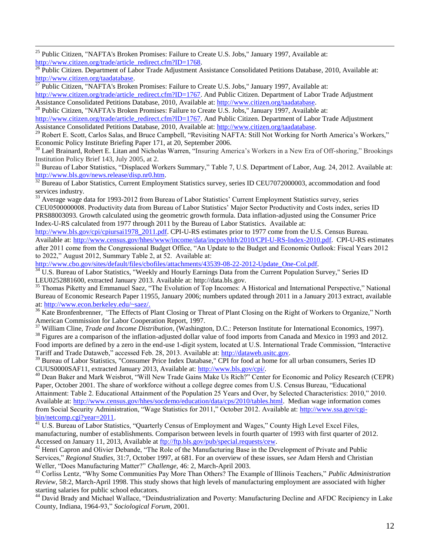<sup>25</sup> Public Citizen, "NAFTA's Broken Promises: Failure to Create U.S. Jobs," January 1997, Available at: [http://www.citizen.org/trade/article\\_redirect.cfm?ID=1768.](http://www.citizen.org/trade/article_redirect.cfm?ID=1768)

 $\overline{a}$ 

<sup>26</sup> Public Citizen. Department of Labor Trade Adjustment Assistance Consolidated Petitions Database, 2010, Available at: [http://www.citizen.org/taadatabase.](http://www.citizen.org/taadatabase)

<sup>27</sup> Public Citizen, "NAFTA's Broken Promises: Failure to Create U.S. Jobs," January 1997, Available at: [http://www.citizen.org/trade/article\\_redirect.cfm?ID=1767.](http://www.citizen.org/trade/article_redirect.cfm?ID=1767) And Public Citizen. Department of Labor Trade Adjustment Assistance Consolidated Petitions Database, 2010, Available at: [http://www.citizen.org/taadatabase.](http://www.citizen.org/taadatabase)

<sup>28</sup> Public Citizen, "NAFTA's Broken Promises: Failure to Create U.S. Jobs," January 1997, Available at: [http://www.citizen.org/trade/article\\_redirect.cfm?ID=1767.](http://www.citizen.org/trade/article_redirect.cfm?ID=1767) And Public Citizen. Department of Labor Trade Adjustment Assistance Consolidated Petitions Database, 2010, Available at: [http://www.citizen.org/taadatabase.](http://www.citizen.org/taadatabase)

<sup>29</sup> Robert E. Scott, Carlos Salas, and Bruce Campbell, "Revisiting NAFTA: Still Not Working for North America's Workers," Economic Policy Institute Briefing Paper 171, at 20, September 2006.

<sup>30</sup> Lael Brainard, Robert E. Litan and Nicholas Warren, "Insuring America's Workers in a New Era of Off-shoring," Brookings Institution Policy Brief 143, July 2005, at 2.

<sup>31</sup> Bureau of Labor Statistics, "Displaced Workers Summary," Table 7, U.S. Department of Labor, Aug. 24, 2012. Available at: [http://www.bls.gov/news.release/disp.nr0.htm.](http://www.bls.gov/news.release/disp.nr0.htm)

Bureau of Labor Statistics, Current Employment Statistics survey, series ID CEU7072000003, accommodation and food services industry.

<sup>33</sup> Average wage data for 1993-2012 from Bureau of Labor Statistics' Current Employment Statistics survey, series CEU0500000008. Productivity data from Bureau of Labor Statistics' Major Sector Productivity and Costs index, series ID PRS88003093. Growth calculated using the geometric growth formula. Data inflation-adjusted using the Consumer Price Index-U-RS calculated from 1977 through 2011 by the Bureau of Labor Statistics. Available at:

[http://www.bls.gov/cpi/cpiursai1978\\_2011.pdf.](http://www.bls.gov/cpi/cpiursai1978_2011.pdf) CPI-U-RS estimates prior to 1977 come from the U.S. Census Bureau. Available at: [http://www.census.gov/hhes/www/income/data/incpovhlth/2010/CPI-U-RS-Index-2010.pdf.](http://www.census.gov/hhes/www/income/data/incpovhlth/2010/CPI-U-RS-Index-2010.pdf) CPI-U-RS estimates after 2011 come from the Congressional Budget Office, "An Update to the Budget and Economic Outlook: Fiscal Years 2012 to 2022," August 2012, Summary Table 2, at 52. Available at:

[http://www.cbo.gov/sites/default/files/cbofiles/attachments/43539-08-22-2012-Update\\_One-Col.pdf.](http://www.cbo.gov/sites/default/files/cbofiles/attachments/43539-08-22-2012-Update_One-Col.pdf)

U.S. Bureau of Labor Statistics, "Weekly and Hourly Earnings Data from the Current Population Survey," Series ID LEU0252881600, extracted January 2013. Available at: http://data.bls.gov.

<sup>35</sup> Thomas Piketty and Emmanuel Saez, "The Evolution of Top Incomes: A Historical and International Perspective," National Bureau of Economic Research Paper 11955, January 2006; numbers updated through 2011 in a January 2013 extract, available at: [http://www.econ.berkeley.edu/~saez/.](http://www.econ.berkeley.edu/~saez/)

<sup>36</sup> Kate Bronfenbrenner, "The Effects of Plant Closing or Threat of Plant Closing on the Right of Workers to Organize," North American Commission for Labor Cooperation Report, 1997.

<sup>37</sup> William Cline, *Trade and Income Distribution*, (Washington, D.C.: Peterson Institute for International Economics, 1997).

<sup>38</sup> Figures are a comparison of the inflation-adjusted dollar value of food imports from Canada and Mexico in 1993 and 2012. Food imports are defined by a zero in the end-use 1-digit system, located at U.S. International Trade Commission, "Interactive Tariff and Trade Dataweb," accessed Feb. 28, 2013. Available at: [http://dataweb.usitc.gov.](http://dataweb.usitc.gov/)

<sup>39</sup> Bureau of Labor Statistics, "Consumer Price Index Database," CPI for food at home for all urban consumers, Series ID CUUS0000SAF11, extracted January 2013, Available at: [http://www.bls.gov/cpi/.](http://www.bls.gov/cpi/)

<sup>40</sup> Dean Baker and Mark Weisbrot, "Will New Trade Gains Make Us Rich?" Center for Economic and Policy Research (CEPR) Paper, October 2001. The share of workforce without a college degree comes from U.S. Census Bureau, "Educational Attainment: Table 2. Educational Attainment of the Population 25 Years and Over, by Selected Characteristics: 2010," 2010. Available at: [http://www.census.gov/hhes/socdemo/education/data/cps/2010/tables.html.](http://www.census.gov/hhes/socdemo/education/data/cps/2010/tables.html) Median wage information comes from Social Security Administration, "Wage Statistics for 2011," October 2012. Available at: [http://www.ssa.gov/cgi](http://www.ssa.gov/cgi-bin/netcomp.cgi?year=2011)[bin/netcomp.cgi?year=2011.](http://www.ssa.gov/cgi-bin/netcomp.cgi?year=2011)

<sup>41</sup> U.S. Bureau of Labor Statistics, "Quarterly Census of Employment and Wages," County High Level Excel Files, manufacturing, number of establishments. Comparison between levels in fourth quarter of 1993 with first quarter of 2012. Accessed on January 11, 2013, Available at [ftp://ftp.bls.gov/pub/special.requests/cew.](ftp://ftp.bls.gov/pub/special.requests/cew) 

<sup>42</sup> Henri Capron and Olivier Debande, "The Role of the Manufacturing Base in the Development of Private and Public Services," *Regional Studies,* 31:7, October 1997, at 681. For an overview of these issues, s*ee* Adam Hersh and Christian Weller, "Does Manufacturing Matter?" *Challenge*, 46: 2, March-April 2003.

<sup>43</sup> Corliss Lentz, "Why Some Communities Pay More Than Others? The Example of Illinois Teachers," *Public Administration Review*, 58:2, March-April 1998. This study shows that high levels of manufacturing employment are associated with higher starting salaries for public school educators.

<sup>44</sup> David Brady and Michael Wallace, "Deindustrialization and Poverty: Manufacturing Decline and AFDC Recipiency in Lake County, Indiana, 1964-93," *Sociological Forum*, 2001.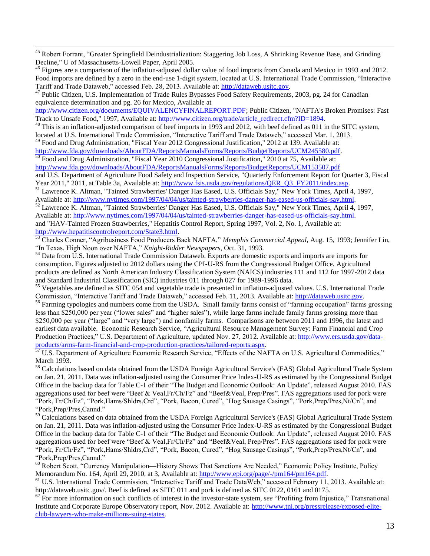<sup>45</sup> Robert Forrant, "Greater Springfield Deindustrialization: Staggering Job Loss, A Shrinking Revenue Base, and Grinding Decline," U of Massachusetts-Lowell Paper, April 2005.

<sup>46</sup> Figures are a comparison of the inflation-adjusted dollar value of food imports from Canada and Mexico in 1993 and 2012. Food imports are defined by a zero in the end-use 1-digit system, located at U.S. International Trade Commission, "Interactive Tariff and Trade Dataweb," accessed Feb. 28, 2013. Available at: [http://dataweb.usitc.gov.](http://dataweb.usitc.gov/)

<sup>47</sup> Public Citizen, U.S. Implementation of Trade Rules Bypasses Food Safety Requirements, 2003, pg. 24 for Canadian equivalence determination and pg. 26 for Mexico, Available at

[http://www.citizen.org/documents/EQUIVALENCYFINALREPORT.PDF;](http://www.citizen.org/documents/EQUIVALENCYFINALREPORT.PDF) Public Citizen, "NAFTA's Broken Promises: Fast Track to Unsafe Food," 1997, Available at: [http://www.citizen.org/trade/article\\_redirect.cfm?ID=1894.](http://www.citizen.org/trade/article_redirect.cfm?ID=1894)

<sup>48</sup> This is an inflation-adjusted comparison of beef imports in 1993 and 2012, with beef defined as 011 in the SITC system, located at U.S. International Trade Commission, "Interactive Tariff and Trade Dataweb," accessed Mar. 1, 2013.

 $49$  Food and Drug Administration, "Fiscal Year 2012 Congressional Justification," 2012 at 139. Available at: [http://www.fda.gov/downloads/AboutFDA/ReportsManualsForms/Reports/BudgetReports/UCM245580.pdf.](http://www.fda.gov/downloads/AboutFDA/ReportsManualsForms/Reports/BudgetReports/UCM245580.pdf)

 $\overline{a}$ 

<sup>50</sup> Food and Drug Administration, "Fiscal Year 2010 Congressional Justification," 2010 at 75, Available at: <http://www.fda.gov/downloads/AboutFDA/ReportsManualsForms/Reports/BudgetReports/UCM153507.pdf>

and U.S. Department of Agriculture Food Safety and Inspection Service, "Quarterly Enforcement Report for Quarter 3, Fiscal Year 2011," 2011, at Table 3a, Available at: [http://www.fsis.usda.gov/regulations/QER\\_Q3\\_FY2011/index.asp.](http://www.fsis.usda.gov/regulations/QER_Q3_FY2011/index.asp)

<sup>51</sup> Lawrence K. Altman, "Tainted Strawberries' Danger Has Eased, U.S. Officials Say," New York Times, April 4, 1997, Available at: [http://www.nytimes.com/1997/04/04/us/tainted-strawberries-danger-has-eased-us-officials-say.html.](http://www.nytimes.com/1997/04/04/us/tainted-strawberries-danger-has-eased-us-officials-say.html) 

<sup>52</sup> Lawrence K. Altman, "Tainted Strawberries' Danger Has Eased, U.S. Officials Say," New York Times, April 4, 1997, Available at: [http://www.nytimes.com/1997/04/04/us/tainted-strawberries-danger-has-eased-us-officials-say.html.](http://www.nytimes.com/1997/04/04/us/tainted-strawberries-danger-has-eased-us-officials-say.html)  and "HAV-Tainted Frozen Strawberries," Hepatitis Control Report, Spring 1997, Vol. 2, No. 1, Available at: [http://www.hepatitiscontrolreport.com/State3.html.](http://www.hepatitiscontrolreport.com/State3.html)

<sup>53</sup> Charles Conner, "Agribusiness Food Producers Back NAFTA," *Memphis Commercial Appeal,* Aug. 15, 1993; Jennifer Lin, "In Texas, High Noon over NAFTA," *Knight-Ridder Newspapers,* Oct. 31, 1993.

<sup>54</sup> Data from U.S. International Trade Commission Dataweb. Exports are domestic exports and imports are imports for consumption. Figures adjusted to 2012 dollars using the CPI-U-RS from the Congressional Budget Office. Agricultural products are defined as North American Industry Classification System (NAICS) industries 111 and 112 for 1997-2012 data and Standard Industrial Classification (SIC) industries 011 through 027 for 1989-1996 data.

<sup>55</sup> Vegetables are defined as SITC 054 and vegetable trade is presented in inflation-adjusted values. U.S. International Trade Commission, "Interactive Tariff and Trade Dataweb," accessed Feb. 11, 2013. Available at: [http://dataweb.usitc.gov.](http://dataweb.usitc.gov/)

<sup>56</sup> Farming typologies and numbers come from the USDA. Small family farms consist of "farming occupation" farms grossing less than \$250,000 per year ("lower sales" and "higher sales"), while large farms include family farms grossing more than \$250,000 per year ("large" and "very large") and nonfamily farms. Comparisons are between 2011 and 1996, the latest and earliest data available. Economic Research Service, "Agricultural Resource Management Survey: Farm Financial and Crop Production Practices," U.S. Department of Agriculture, updated Nov. 27, 2012. Available at: [http://www.ers.usda.gov/data](http://www.ers.usda.gov/data-products/arms-farm-financial-and-crop-production-practices/tailored-reports.aspx)[products/arms-farm-financial-and-crop-production-practices/tailored-reports.aspx.](http://www.ers.usda.gov/data-products/arms-farm-financial-and-crop-production-practices/tailored-reports.aspx)

<sup>57</sup> U.S. Department of Agriculture Economic Research Service, "Effects of the NAFTA on U.S. Agricultural Commodities," March 1993.

<sup>58</sup> Calculations based on data obtained from the USDA Foreign Agricultural Service's (FAS) Global Agricultural Trade System on Jan. 21, 2011. Data was inflation-adjusted using the Consumer Price Index-U-RS as estimated by the Congressional Budget Office in the backup data for Table C-1 of their "The Budget and Economic Outlook: An Update", released August 2010. FAS aggregations used for beef were "Beef & Veal,Fr/Ch/Fz" and "Beef&Veal, Prep/Pres". FAS aggregations used for pork were "Pork, Fr/Ch/Fz", "Pork,Hams/Shldrs,Crd", "Pork, Bacon, Cured", "Hog Sausage Casings", "Pork,Prep/Pres,Nt/Cn", and "Pork,Prep/Pres,Cannd."

<sup>59</sup> Calculations based on data obtained from the USDA Foreign Agricultural Service's (FAS) Global Agricultural Trade System on Jan. 21, 2011. Data was inflation-adjusted using the Consumer Price Index-U-RS as estimated by the Congressional Budget Office in the backup data for Table C-1 of their "The Budget and Economic Outlook: An Update", released August 2010. FAS aggregations used for beef were "Beef & Veal,Fr/Ch/Fz" and "Beef&Veal, Prep/Pres". FAS aggregations used for pork were "Pork, Fr/Ch/Fz", "Pork,Hams/Shldrs,Crd", "Pork, Bacon, Cured", "Hog Sausage Casings", "Pork,Prep/Pres,Nt/Cn", and "Pork,Prep/Pres,Cannd."

<sup>60</sup> Robert Scott, "Currency Manipulation—History Shows That Sanctions Are Needed," Economic Policy Institute, Policy Memorandum No. 164, April 29, 2010, at 3, Available at: [http://www.epi.org/page/-/pm164/pm164.pdf.](http://www.epi.org/page/-/pm164/pm164.pdf)

<sup>61</sup> U.S. International Trade Commission, "Interactive Tariff and Trade DataWeb," accessed February 11, 2013. Available at: http://dataweb.usitc.gov/. Beef is defined as SITC 011 and pork is defined as SITC 0122, 0161 and 0175.

<sup>62</sup> For more information on such conflicts of interest in the investor-state system, *see* "Profiting from Injustice," Transnational Institute and Corporate Europe Observatory report, Nov. 2012. Available at: [http://www.tni.org/pressrelease/exposed-elite](http://www.tni.org/pressrelease/exposed-elite-club-lawyers-who-make-millions-suing-states)[club-lawyers-who-make-millions-suing-states.](http://www.tni.org/pressrelease/exposed-elite-club-lawyers-who-make-millions-suing-states)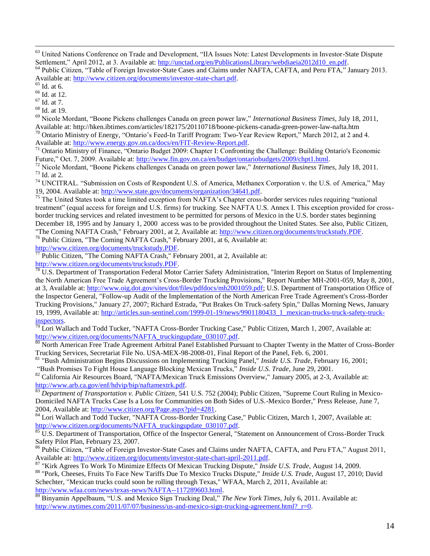<sup>63</sup> United Nations Conference on Trade and Development, "IIA Issues Note: Latest Developments in Investor-State Dispute Settlement," April 2012, at 3. Available at: [http://unctad.org/en/PublicationsLibrary/webdiaeia2012d10\\_en.pdf.](http://unctad.org/en/PublicationsLibrary/webdiaeia2012d10_en.pdf)

 $\overline{a}$ 

<sup>66</sup> Id. at 12.

 $^{67}$  Id. at 7.

<sup>68</sup> Id. at 19.

<sup>69</sup> Nicole Mordant, "Boone Pickens challenges Canada on green power law," *International Business Times*, July 18, 2011, Available at: http://hken.ibtimes.com/articles/182175/20110718/boone-pickens-canada-green-power-law-nafta.htm <sup>70</sup> Ontario Ministry of Energy, "Ontario's Feed-In Tariff Program: Two-Year Review Report," March 2012, at 2 and 4.

Available at: [http://www.energy.gov.on.ca/docs/en/FIT-Review-Report.pdf.](http://www.energy.gov.on.ca/docs/en/FIT-Review-Report.pdf) 

<sup>71</sup> Ontario Ministry of Finance, "Ontario Budget 2009: Chapter I: Confronting the Challenge: Building Ontario's Economic Future," Oct. 7, 2009. Available at: [http://www.fin.gov.on.ca/en/budget/ontariobudgets/2009/chpt1.html.](http://www.fin.gov.on.ca/en/budget/ontariobudgets/2009/chpt1.html)

<sup>72</sup> Nicole Mordant, "Boone Pickens challenges Canada on green power law," *International Business Times*, July 18, 2011. <sup>73</sup> Id. at 2.

<sup>74</sup> UNCITRAL. "Submission on Costs of Respondent U.S. of America, Methanex Corporation v. the U.S. of America," May 19, 2004. Available at: [http://www.state.gov/documents/organization/34641.pdf.](http://www.state.gov/documents/organization/34641.pdf)

 $<sup>75</sup>$  The United States took a time limited exception from NAFTA's Chapter cross-border services rules requiring "national"</sup> treatment" (equal access for foreign and U.S. firms) for trucking. See NAFTA U.S. Annex I. This exception provided for crossborder trucking services and related investment to be permitted for persons of Mexico in the U.S. border states beginning December 18, 1995 and by January 1, 2000 access was to be provided throughout the United States. See also, Public Citizen, "The Coming NAFTA Crash," February 2001, at 2, Available at: [http://www.citizen.org/documents/truckstudy.PDF.](http://www.citizen.org/documents/truckstudy.PDF)

<sup>76</sup> Public Citizen, "The Coming NAFTA Crash," February 2001, at 6, Available at:

[http://www.citizen.org/documents/truckstudy.PDF.](http://www.citizen.org/documents/truckstudy.PDF)

 $\frac{1}{77}$  Public Citizen, "The Coming NAFTA Crash," February 2001, at 2, Available at: [http://www.citizen.org/documents/truckstudy.PDF.](http://www.citizen.org/documents/truckstudy.PDF)

U.S. Department of Transportation Federal Motor Carrier Safety Administration, "Interim Report on Status of Implementing the North American Free Trade Agreement's Cross-Border Trucking Provisions," Report Number MH-2001-059, May 8, 2001, at 3, Available at: [http://www.oig.dot.gov/sites/dot/files/pdfdocs/mh2001059.pdf;](http://www.oig.dot.gov/sites/dot/files/pdfdocs/mh2001059.pdf) U.S. Department of Transportation Office of the Inspector General, "Follow-up Audit of the Implementation of the North American Free Trade Agreement's Cross-Border Trucking Provisions," January 27, 2007; Richard Estrada, "Put Brakes On Truck-safety Spin," Dallas Morning News, January 19, 1999, Available at: [http://articles.sun-sentinel.com/1999-01-19/news/9901180433\\_1\\_mexican-trucks-truck-safety-truck](http://articles.sun-sentinel.com/1999-01-19/news/9901180433_1_mexican-trucks-truck-safety-truck-inspectors)[inspectors.](http://articles.sun-sentinel.com/1999-01-19/news/9901180433_1_mexican-trucks-truck-safety-truck-inspectors)

 $\frac{79}{79}$  Lori Wallach and Todd Tucker, "NAFTA Cross-Border Trucking Case," Public Citizen, March 1, 2007, Available at: [http://www.citizen.org/documents/NAFTA\\_truckingupdate\\_030107.pdf.](http://www.citizen.org/documents/NAFTA_truckingupdate_030107.pdf)

<sup>80</sup> North American Free Trade Agreement Arbitral Panel Established Pursuant to Chapter Twenty in the Matter of Cross-Border Trucking Services, Secretariat File No. USA-MEX-98-2008-01, Final Report of the Panel, Feb. 6, 2001.

<sup>81</sup> "Bush Administration Begins Discussions on Implementing Trucking Panel," *Inside U.S. Trade*, February 16, 2001; "Bush Promises To Fight House Language Blocking Mexican Trucks," *Inside U.S. Trade*, June 29, 2001.

82 California Air Resources Board, "NAFTA/Mexican Truck Emissions Overview," January 2005, at 2-3, Available at: [http://www.arb.ca.gov/enf/hdvip/bip/naftamextrk.pdf.](http://www.arb.ca.gov/enf/hdvip/bip/naftamextrk.pdf)

<sup>83</sup> *Department of Transportation v. Public Citizen*, 541 U.S. 752 (2004); Public Citizen, "Supreme Court Ruling in Mexico-Domiciled NAFTA Trucks Case Is a Loss for Communities on Both Sides of U.S.-Mexico Border," Press Release, June 7, 2004, Available at: [http://www.citizen.org/Page.aspx?pid=4281.](http://www.citizen.org/Page.aspx?pid=4281)

84 Lori Wallach and Todd Tucker, "NAFTA Cross-Border Trucking Case," Public Citizen, March 1, 2007, Available at: [http://www.citizen.org/documents/NAFTA\\_truckingupdate\\_030107.pdf.](http://www.citizen.org/documents/NAFTA_truckingupdate_030107.pdf)

 $85$  U.S. Department of Transportation, Office of the Inspector General, "Statement on Announcement of Cross-Border Truck Safety Pilot Plan, February 23, 2007.

<sup>86</sup> Public Citizen, "Table of Foreign Investor-State Cases and Claims under NAFTA, CAFTA, and Peru FTA," August 2011, Available at: [http://www.citizen.org/documents/investor-state-chart-april-2011.pdf.](http://www.citizen.org/documents/investor-state-chart-april-2011.pdf)

<sup>87</sup> "Kirk Agrees To Work To Minimize Effects Of Mexican Trucking Dispute," *Inside U.S. Trade*, August 14, 2009.

<sup>88</sup> "Pork, Cheeses, Fruits To Face New Tariffs Due To Mexico Trucks Dispute," *Inside U.S. Trade*, August 17, 2010; David Schechter, "Mexican trucks could soon be rolling through Texas," WFAA, March 2, 2011, Available at: [http://www.wfaa.com/news/texas-news/NAFTA--117289603.html.](http://www.wfaa.com/news/texas-news/NAFTA--117289603.html)

Binyamin Appelbaum, "U.S. and Mexico Sign Trucking Deal," *The New York Times*, July 6, 2011. Available at: http://www.nytimes.com/2011/07/07/business/us-and-mexico-sign-trucking-agreement.html? $r=0$ .

<sup>&</sup>lt;sup>64</sup> Public Citizen, "Table of Foreign Investor-State Cases and Claims under NAFTA, CAFTA, and Peru FTA," January 2013. Available at: [http://www.citizen.org/documents/investor-state-chart.pdf.](http://www.citizen.org/documents/investor-state-chart.pdf)<br>
<sup>65</sup> Id. at 6

Id. at  $6$ .